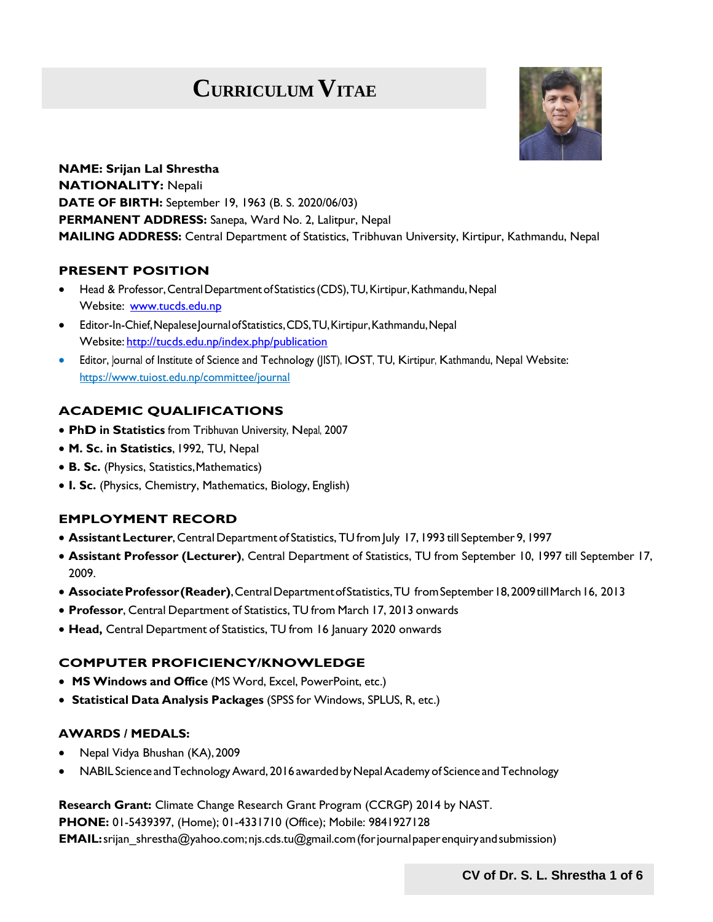# **CURRICULUM VITAE**



**NAME: Srijan Lal Shrestha NATIONALITY:** Nepali **DATE OF BIRTH:** September 19, 1963 (B. S. 2020/06/03) **PERMANENT ADDRESS:** Sanepa, Ward No. 2, Lalitpur, Nepal **MAILING ADDRESS:** Central Department of Statistics, Tribhuvan University, Kirtipur, Kathmandu, Nepal

#### **PRESENT POSITION**

- Head & Professor,CentralDepartment of Statistics(CDS),TU,Kirtipur,Kathmandu,Nepal Website: [www.tucds.edu.np](http://www.tucds.edu.np/)
- Editor-In-Chief,NepaleseJournalofStatistics,CDS,TU,Kirtipur,Kathmandu,Nepal Website: <http://tucds.edu.np/index.php/publication>
- Editor, Journal of Institute of Science and Technology (IIST), IOST, TU, Kirtipur, Kathmandu, Nepal Website: http[s://www.tuio](http://www.tuiost.edu.np/committee/journal)s[t.edu.np/committee/journal](http://www.tuiost.edu.np/committee/journal)

## **ACADEMIC QUALIFICATIONS**

- **PhD in Statistics** from Tribhuvan University, Nepal, 2007
- **M. Sc. in Statistics**, 1992, TU, Nepal
- **B. Sc.** (Physics, Statistics, Mathematics)
- **I. Sc.** (Physics, Chemistry, Mathematics, Biology, English)

#### **EMPLOYMENT RECORD**

- **AssistantLecturer**, CentralDepartment of Statistics, TU fromJuly 17, 1993 till September 9, 1997
- **Assistant Professor (Lecturer)**, Central Department of Statistics, TU from September 10, 1997 till September 17, 2009.
- **AssociateProfessor(Reader)**,CentralDepartmentofStatistics,TU fromSeptember18,2009tillMarch16, 2013
- **Professor**, Central Department of Statistics, TU from March 17, 2013 onwards
- **Head,** Central Department of Statistics, TU from 16 January 2020 onwards

#### **COMPUTER PROFICIENCY/KNOWLEDGE**

- **MS Windows and Office** (MS Word, Excel, PowerPoint, etc.)
- **Statistical Data Analysis Packages** (SPSS for Windows, SPLUS, R, etc.)

#### **AWARDS / MEDALS:**

- Nepal Vidya Bhushan (KA),2009
- NABIL Science and Technology Award, 2016 awarded by Nepal Academy of Science and Technology

**Research Grant:** Climate Change Research Grant Program (CCRGP) 2014 by NAST.

**PHONE:** 01-5439397, (Home); 01-4331710 (Office); Mobile: 9841927128

 **EMAIL:**[srijan\\_shrestha@yahoo.com;njs.cds.tu@gmail.com\(](mailto:srijan_shrestha@yahoo.com)forjournalpaperenquiryandsubmission)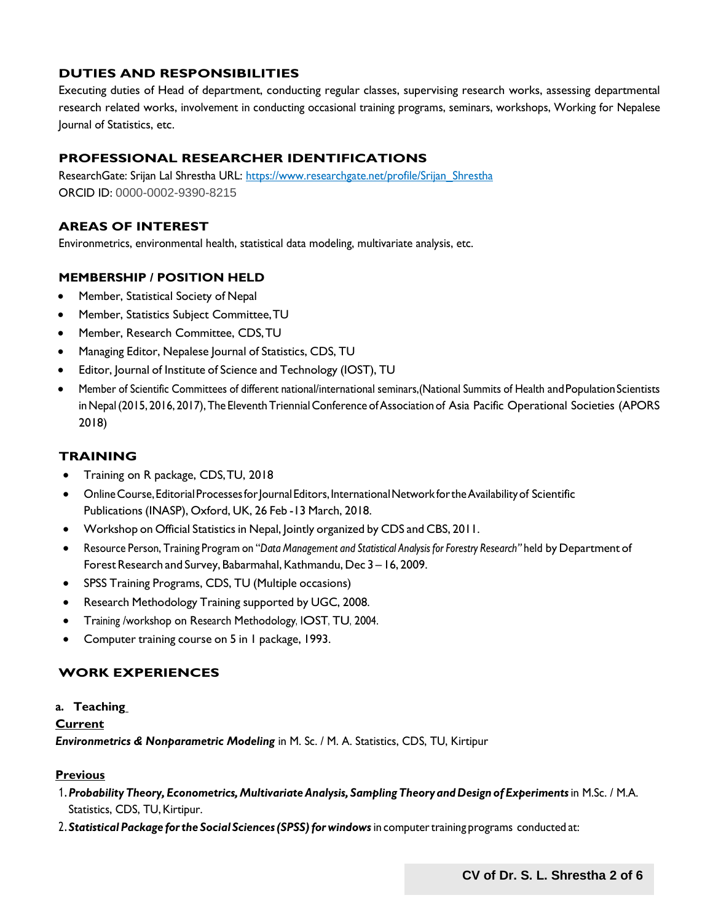## **DUTIES AND RESPONSIBILITIES**

Executing duties of Head of department, conducting regular classes, supervising research works, assessing departmental research related works, involvement in conducting occasional training programs, seminars, workshops, Working for Nepalese Journal of Statistics, etc.

## **PROFESSIONAL RESEARCHER IDENTIFICATIONS**

ResearchGate: Srijan Lal Shrestha URL: http[s://www.researchgate.net/profile/Srijan\\_Shrestha](http://www.researchgate.net/profile/Srijan_Shrestha) ORCID ID: 0000-0002-9390-8215

#### **AREAS OF INTEREST**

Environmetrics, environmental health, statistical data modeling, multivariate analysis, etc.

#### **MEMBERSHIP / POSITION HELD**

- Member, Statistical Society of Nepal
- Member, Statistics Subject Committee,TU
- Member, Research Committee, CDS,TU
- Managing Editor, Nepalese Journal of Statistics, CDS, TU
- Editor, Journal of Institute of Science and Technology (IOST), TU
- Member of Scientific Committees of different national/international seminars, (National Summits of Health and Population Scientists in Nepal (2015, 2016, 2017), The Eleventh Triennial Conference of Association of Asia Pacific Operational Societies (APORS 2018)

## **TRAINING**

- Training on R package, CDS,TU, 2018
- Online Course, Editorial Processes for Journal Editors, International Network for the Availability of Scientific Publications (INASP), Oxford, UK, 26 Feb -13 March, 2018.
- Workshop on Official Statistics in Nepal, Jointly organized by CDS and CBS, 2011.
- Resource Person, Training Program on "*Data Management and Statistical Analysis for Forestry Research"* held by Department of Forest Research and Survey, Babarmahal, Kathmandu, Dec 3 - 16, 2009.
- SPSS Training Programs, CDS, TU (Multiple occasions)
- Research Methodology Training supported by UGC, 2008.
- Training /workshop on Research Methodology, IOST, TU, 2004.
- Computer training course on 5 in 1 package, 1993.

#### **WORK EXPERIENCES**

#### **a. Teaching**

#### **Current**

*Environmetrics & Nonparametric Modeling* in M. Sc. / M. A. Statistics, CDS, TU, Kirtipur

#### **Previous**

- 1.*ProbabilityTheory, Econometrics,MultivariateAnalysis, Sampling Theoryand Design of Experiments*in M.Sc. / M.A. Statistics, CDS, TU, Kirtipur.
- 2.*Statistical Package forthe Social Sciences(SPSS)for windows* in computertraining programs conducted at: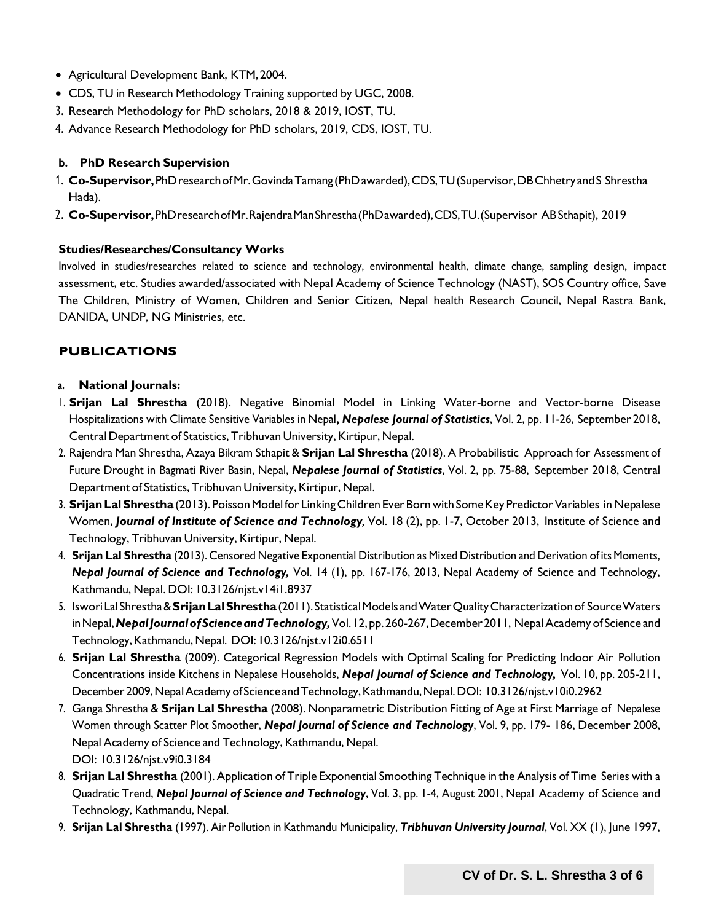- Agricultural Development Bank, KTM,2004.
- CDS, TU in Research Methodology Training supported by UGC, 2008.
- 3. Research Methodology for PhD scholars, 2018 & 2019, IOST, TU.
- 4. Advance Research Methodology for PhD scholars, 2019, CDS, IOST, TU.

#### **b. PhD Research Supervision**

- 1. **Co-Supervisor,**PhDresearchofMr.GovindaTamang (PhDawarded),CDS,TU(Supervisor,DBChhetry andS Shrestha Hada).
- 2. **Co-Supervisor,**PhDresearchofMr.RajendraManShrestha(PhDawarded),CDS,TU.(Supervisor ABSthapit), 2019

#### **Studies/Researches/Consultancy Works**

Involved in studies/researches related to science and technology, environmental health, climate change, sampling design, impact assessment, etc. Studies awarded/associated with Nepal Academy of Science Technology (NAST), SOS Country office, Save The Children, Ministry of Women, Children and Senior Citizen, Nepal health Research Council, Nepal Rastra Bank, DANIDA, UNDP, NG Ministries, etc.

## **PUBLICATIONS**

#### **a. National Journals:**

- 1. **Srijan Lal Shrestha** (2018). Negative Binomial Model in Linking Water-borne and Vector-borne Disease Hospitalizations with Climate Sensitive Variables in Nepal**,** *Nepalese Journal of Statistics*, Vol. 2, pp. 11-26, September 2018, Central Department of Statistics, Tribhuvan University, Kirtipur, Nepal.
- 2. Rajendra Man Shrestha, Azaya Bikram Sthapit & **Srijan Lal Shrestha** (2018). A Probabilistic Approach for Assessment of Future Drought in Bagmati River Basin, Nepal, *Nepalese Journal of Statistics*, Vol. 2, pp. 75-88, September 2018, Central Department of Statistics, Tribhuvan University, Kirtipur, Nepal.
- 3. **SrijanLalShrestha**(2013). PoissonModel for LinkingChildren EverBorn with SomeKey Predictor Variables in Nepalese Women, *Journal of Institute of Science and Technology,* Vol. 18 (2), pp. 1-7, October 2013, Institute of Science and Technology, Tribhuvan University, Kirtipur, Nepal.
- 4. **Srijan Lal Shrestha** (2013). Censored Negative Exponential Distribution as Mixed Distribution and Derivation of its Moments, *Nepal Journal of Science and Technology,* Vol. 14 (1), pp. 167-176, 2013, Nepal Academy of Science and Technology, Kathmandu, Nepal. DOI: 10.3126/njst.v14i1.8937
- 5. IsworiLalShrestha&**SrijanLalShrestha**(2011).StatisticalModels andWaterQualityCharacterizationof SourceWaters in Nepal, Nepal Journal of Science and Technology, Vol. 12, pp. 260-267, December 2011, Nepal Academy of Science and Technology,Kathmandu,Nepal. DOI: [10.3126/njst.v12i0.6511](http://dx.doi.org/10.3126/njst.v12i0.6511)
- 6. **Srijan Lal Shrestha** (2009). Categorical Regression Models with Optimal Scaling for Predicting Indoor Air Pollution Concentrations inside Kitchens in Nepalese Households, *Nepal Journal of Science and Technology,* Vol. 10, pp. 205-211, December2009,NepalAcademyofScienceandTechnology,Kathmandu,Nepal.DOI: 10.3126/njst.v10i0.2962
- 7. Ganga Shrestha & **Srijan Lal Shrestha** (2008). Nonparametric Distribution Fitting of Age at First Marriage of Nepalese Women through Scatter Plot Smoother, *Nepal Journal of Science and Technology*, Vol. 9, pp. 179- 186, December 2008, Nepal Academy of Science and Technology, Kathmandu, Nepal. DOI: 10.3126/njst.v9i0.3184
- 8. **Srijan Lal Shrestha** (2001). Application of Triple Exponential Smoothing Technique in the Analysis of Time Series with a Quadratic Trend, *Nepal Journal of Science and Technology*, Vol. 3, pp. 1-4, August 2001, Nepal Academy of Science and Technology, Kathmandu, Nepal.
- 9. **Srijan Lal Shrestha** (1997). Air Pollution in Kathmandu Municipality, *Tribhuvan University Journal*, Vol. XX (1), June 1997,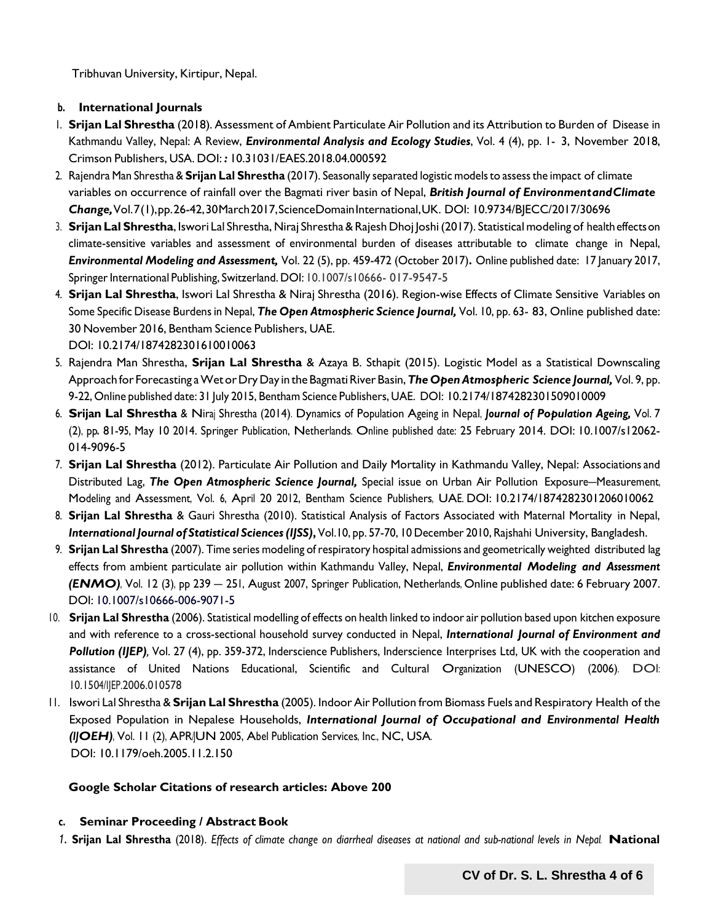Tribhuvan University, Kirtipur, Nepal.

#### **b. International Journals**

- 1. **Srijan Lal Shrestha** (2018). Assessment of Ambient Particulate Air Pollution and its Attribution to Burden of Disease in Kathmandu Valley, Nepal: A Review, *Environmental Analysis and Ecology Studies*, Vol. 4 (4), pp. 1- 3, November 2018, Crimson Publishers, USA. DOI: *:* [10.31031/EAES.2018.04.000592](http://dx.doi.org/10.31031/eaes.2018.04.000592)
- 2. Rajendra Man Shrestha & **Srijan Lal Shrestha** (2017). Seasonally separated logistic modelsto assessthe impact of climate variables on occurrence of rainfall over the Bagmati river basin of Nepal, *British Journal of EnvironmentandClimate Change,*Vol.7(1),pp.26-42,30March2017,ScienceDomainInternational,UK. DOI: 10.9734/BJECC/2017/30696
- 3. **SrijanLal Shrestha**, Iswori Lal Shrestha, Niraj Shrestha&Rajesh Dhoj Joshi(2017). Statistical modeling of healtheffectson climate-sensitive variables and assessment of environmental burden of diseases attributable to climate change in Nepal, *Environmental Modeling and Assessment,* Vol. 22 (5), pp. 459-472 (October 2017)**.** Online published date: 17 January 2017, Springer International Publishing, Switzerland. DOI: 10.1007/s10666- 017-9547-5
- 4. **Srijan Lal Shrestha**, Iswori Lal Shrestha & Niraj Shrestha (2016). Region-wise Effects of Climate Sensitive Variables on Some Specific Disease Burdensin Nepal, *The Open Atmospheric Science Journal,* Vol. 10, pp. 63- 83, Online published date: 30 November 2016, Bentham Science Publishers, UAE. DOI: 10.2174/1874282301610010063
- 5. Rajendra Man Shrestha, **Srijan Lal Shrestha** & Azaya B. Sthapit (2015). Logistic Model as a Statistical Downscaling Approach for Forecasting a Wet or Dry Day in the Bagmati River Basin, The Open Atmospheric Science Journal, Vol. 9, pp. 9-22, Online published date: 31 July 2015, Bentham Science Publishers, UAE. DOI: 10.2174/1874282301509010009
- 6. **Srijan Lal Shrestha** & Niraj Shrestha (2014). Dynamics of Population Ageing in Nepal, *Journal of Population Ageing,* Vol. 7 (2), pp*.* 81-95, May 10 2014. Springer Publication, Netherlands. Online published date: 25 February 2014. DOI: 10.1007/s12062- 014-9096-5
- 7. **Srijan Lal Shrestha** (2012). Particulate Air Pollution and Daily Mortality in Kathmandu Valley, Nepal: Associations and Distributed Lag, *The Open Atmospheric Science Journal,* Special issue on Urban Air Pollution Exposure–Measurement, Modeling and Assessment, Vol. 6, April 20 2012, Bentham Science Publishers, UAE. DOI: 10.2174/1874282301206010062
- 8. **Srijan Lal Shrestha** & Gauri Shrestha (2010). Statistical Analysis of Factors Associated with Maternal Mortality in Nepal, *International Journal of Statistical Sciences (IJSS)***,** Vol.10, pp. 57-70, 10 December 2010, Rajshahi University, Bangladesh.
- 9. **Srijan Lal Shrestha** (2007). Time series modeling ofrespiratory hospital admissions and geometrically weighted distributed lag effects from ambient particulate air pollution within Kathmandu Valley, Nepal, *Environmental Modeling and Assessment (ENMO)*, Vol. 12 (3), pp 239 – 251, August 2007, Springer Publication, Netherlands, Online published date: 6 February 2007. DOI: 10.1007/s10666-006-9071-5
- 10. **Srijan Lal Shrestha** (2006). Statistical modelling of effects on health linked to indoor air pollution based upon kitchen exposure and with reference to a cross-sectional household survey conducted in Nepal, *International Journal of Environment and* **Pollution (IJEP)**, Vol. 27 (4), pp. 359-372, Inderscience Publishers, Inderscience Interprises Ltd, UK with the cooperation and assistance of United Nations Educational, Scientific and Cultural Organization (UNESCO) (2006). DOI: 10.1504/IJEP.2006.010578
- 11. Iswori Lal Shrestha & **Srijan Lal Shrestha** (2005). Indoor Air Pollution from Biomass Fuels and Respiratory Health of the Exposed Population in Nepalese Households, *International Journal of Occupational and Environmental Health (IJOEH)*, Vol. 11 (2), APR/JUN 2005, Abel Publication Services, Inc., NC, USA. DOI: 10.1179/oeh.2005.11.2.150

#### **Google Scholar Citations of research articles: Above 200**

#### **c. Seminar Proceeding / Abstract Book**

1. Srijan Lal Shrestha (2018). Effects of climate change on diarrheal diseases at national and sub-national levels in Nepal. National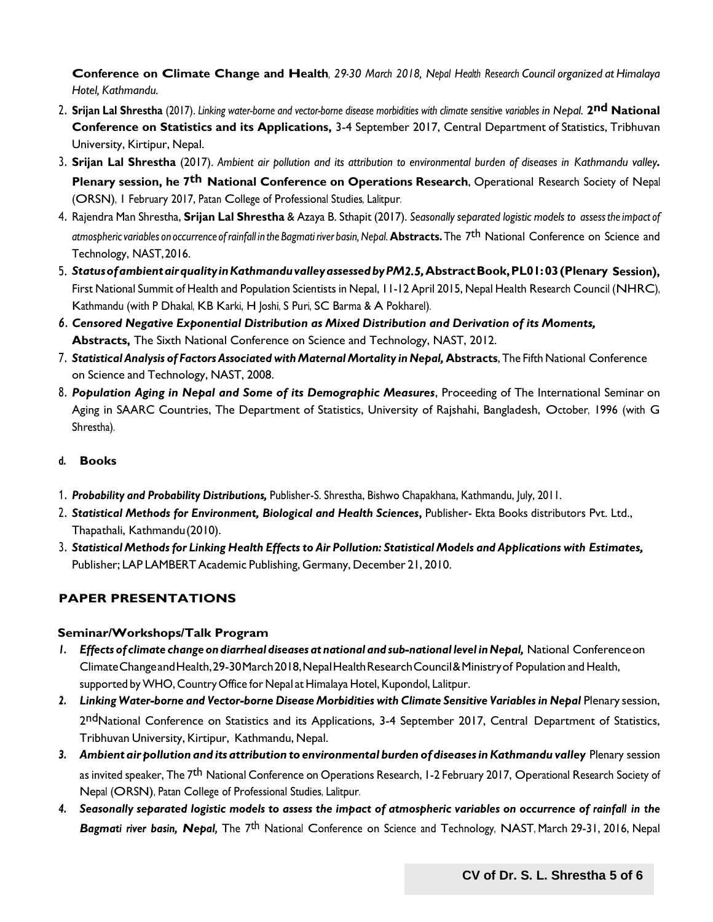**Conference on Climate Change and Health***, 29-30 March 2018, Nepal Health Research Council organized at Himalaya Hotel, Kathmandu.*

- 2. **Srijan Lal Shrestha** (2017). *Linking water-borne and vector-borne disease morbidities with climate sensitive variables in Nepal.* **2nd National Conference on Statistics and its Applications,** 3-4 September 2017, Central Department of Statistics, Tribhuvan University, Kirtipur, Nepal.
- 3. Srijan Lal Shrestha (2017). Ambient air pollution and its attribution to environmental burden of diseases in Kathmandu valley. **Plenary session, he 7th National Conference on Operations Research**, Operational Research Society of Nepal (ORSN), 1 February 2017, Patan College of Professional Studies, Lalitpur.
- 4. Rajendra Man Shrestha, **Srijan Lal Shrestha** & Azaya B. Sthapit (2017). *Seasonally separated logistic models to assessthe impact of atmosphericvariables on occurrence of rainfall in the Bagmatiriver basin,Nepal.* **Abstracts.** The 7th National Conference on Science and Technology, NAST,2016.
- 5. *StatusofambientairqualityinKathmanduvalleyassessedbyPM2.5,***AbstractBook,PL01:03(Plenary Session),** First National Summit of Health and Population Scientists in Nepal, 11-12 April 2015, Nepal Health Research Council (NHRC), Kathmandu (with P Dhakal, KB Karki, H Joshi, S Puri, SC Barma & A Pokharel).
- *6. Censored Negative Exponential Distribution as Mixed Distribution and Derivation of its Moments,* **Abstracts,** The Sixth National Conference on Science and Technology, NAST, 2012.
- 7. *Statistical Analysis of Factors Associated withMaternal Mortality inNepal,* **Abstracts**, The Fifth National Conference on Science and Technology, NAST, 2008.
- 8. *Population Aging in Nepal and Some of its Demographic Measures*, Proceeding of The International Seminar on Aging in SAARC Countries, The Department of Statistics, University of Rajshahi, Bangladesh, October, 1996 (with G Shrestha).
- **d. Books**
- 1. *Probability and Probability Distributions,* Publisher-S. Shrestha, Bishwo Chapakhana, Kathmandu, July, 2011.
- 2. Statistical Methods for Environment, Biological and Health Sciences, Publisher- Ekta Books distributors Pvt. Ltd., Thapathali, Kathmandu(2010).
- 3. *Statistical Methods for Linking Health Effects to Air Pollution: Statistical Models and Applications with Estimates,* Publisher; LAP LAMBERT Academic Publishing, Germany, December 21, 2010.

# **PAPER PRESENTATIONS**

#### **Seminar/Workshops/Talk Program**

- *1. Effects of climate change on diarrheal diseases at national and sub-national level inNepal,* National Conferenceon ClimateChangeandHealth,29-30March2018,NepalHealthResearchCouncil&Ministryof Population and Health, supported byWHO, Country Office for Nepal at Himalaya Hotel, Kupondol, Lalitpur.
- *2. Linking Water-borne and Vector-borne Disease Morbidities with Climate Sensitive Variables in Nepal* Plenary session, 2ndNational Conference on Statistics and its Applications, 3-4 September 2017, Central Department of Statistics, Tribhuvan University, Kirtipur, Kathmandu, Nepal.
- *3. Ambientair pollution and its attribution to environmental burden of diseasesinKathmandu valley* Plenary session as invited speaker, The 7<sup>th</sup> National Conference on Operations Research, 1-2 February 2017, Operational Research Society of Nepal (ORSN), Patan College of Professional Studies, Lalitpur.
- 4. Seasonally separated logistic models to assess the impact of atmospheric variables on occurrence of rainfall in the *Bagmati river basin, Nepal,* The 7th National Conference on Science and Technology, NAST, March 29-31, 2016, Nepal